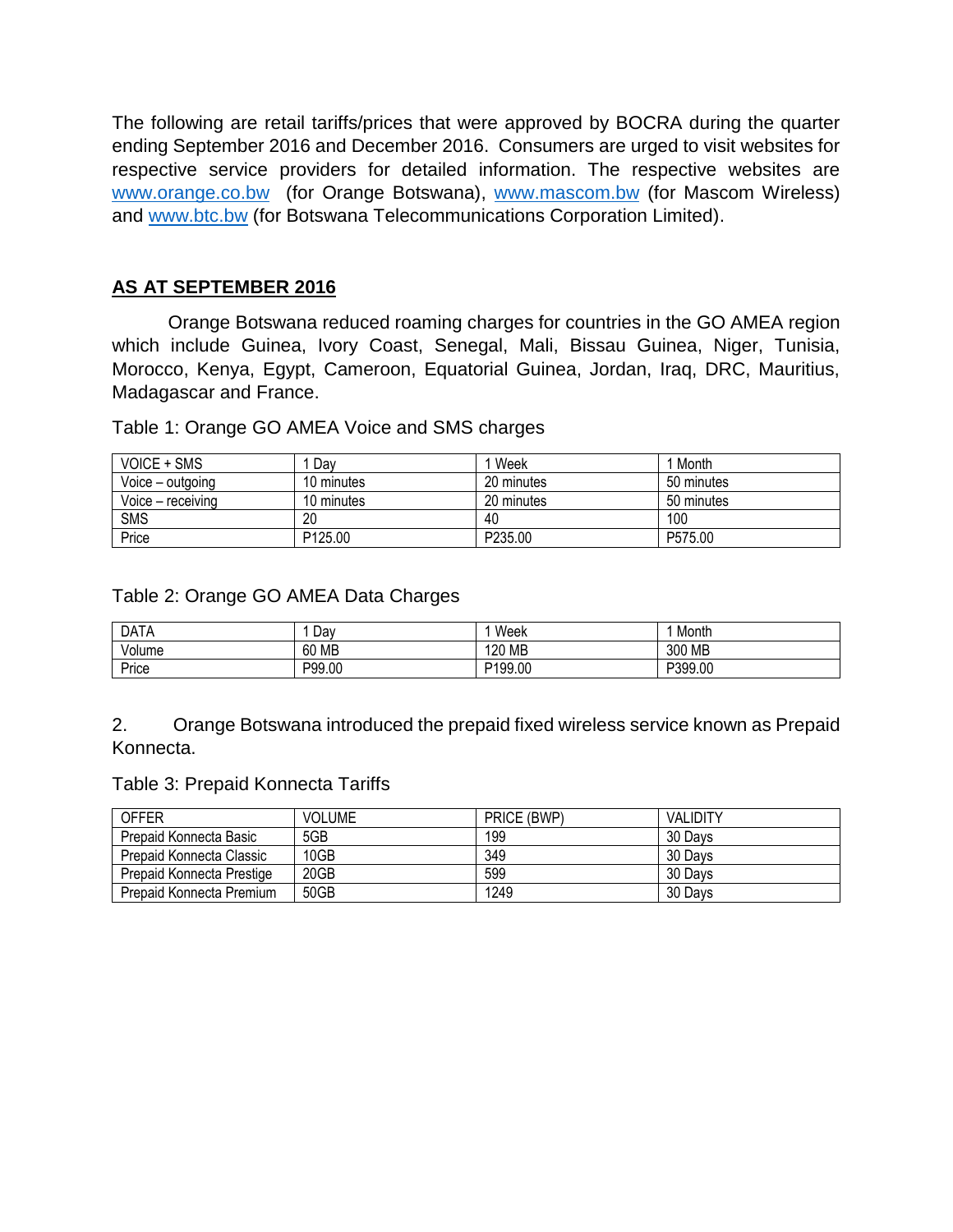The following are retail tariffs/prices that were approved by BOCRA during the quarter ending September 2016 and December 2016. Consumers are urged to visit websites for respective service providers for detailed information. The respective websites are [www.orange.co.bw](http://www.orange.co.bw/) (for Orange Botswana), [www.mascom.bw](http://www.mascom.bw/) (for Mascom Wireless) and [www.btc.bw](http://www.btc.bw/) (for Botswana Telecommunications Corporation Limited).

## **AS AT SEPTEMBER 2016**

Orange Botswana reduced roaming charges for countries in the GO AMEA region which include Guinea, Ivory Coast, Senegal, Mali, Bissau Guinea, Niger, Tunisia, Morocco, Kenya, Egypt, Cameroon, Equatorial Guinea, Jordan, Iraq, DRC, Mauritius, Madagascar and France.

Table 1: Orange GO AMEA Voice and SMS charges

| <b>VOICE + SMS</b> | Dav                 | Week       | 1 Month    |
|--------------------|---------------------|------------|------------|
| Voice – outgoing   | 10 minutes          | 20 minutes | 50 minutes |
| Voice - receiving  | 10 minutes          | 20 minutes | 50 minutes |
| <b>SMS</b>         | 20                  | 40         | 100        |
| Price              | P <sub>125.00</sub> | P235.00    | P575.00    |

Table 2: Orange GO AMEA Data Charges

| <b>DATA</b> | Dav    | Week    | Month   |
|-------------|--------|---------|---------|
| Volume      | 60 MB  | 120 MB  | 300 MB  |
| Price       | P99.00 | P199.00 | P399.00 |

2. Orange Botswana introduced the prepaid fixed wireless service known as Prepaid Konnecta.

Table 3: Prepaid Konnecta Tariffs

| <b>OFFER</b>              | <b>VOLUME</b> | PRICE (BWP) | <b>VALIDITY</b> |
|---------------------------|---------------|-------------|-----------------|
| Prepaid Konnecta Basic    | 5GB           | 199         | 30 Days         |
| Prepaid Konnecta Classic  | 10GB          | 349         | 30 Days         |
| Prepaid Konnecta Prestige | 20GB          | 599         | 30 Days         |
| Prepaid Konnecta Premium  | 50GB          | 1249        | 30 Days         |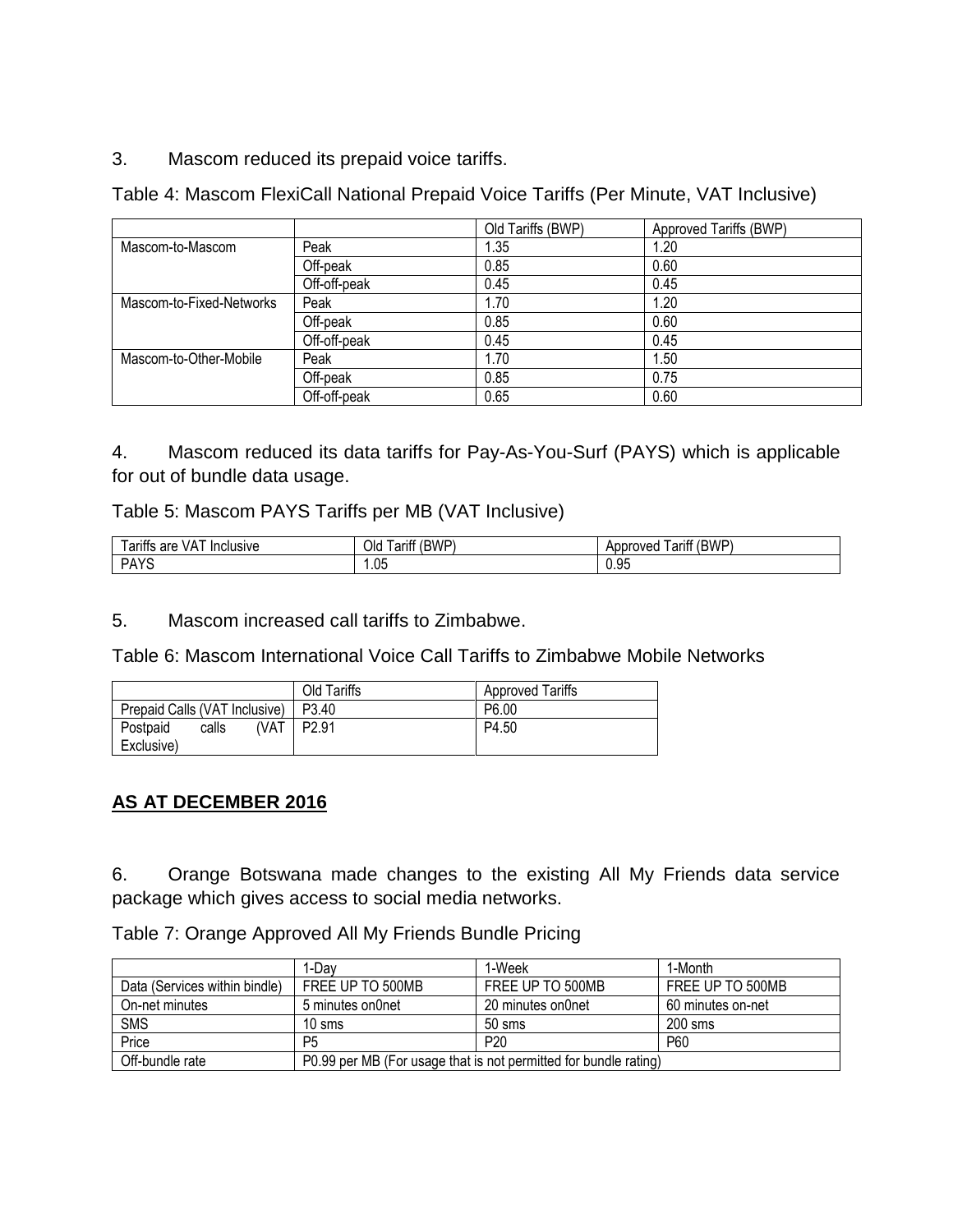3. Mascom reduced its prepaid voice tariffs.

Table 4: Mascom FlexiCall National Prepaid Voice Tariffs (Per Minute, VAT Inclusive)

|                          |              | Old Tariffs (BWP) | Approved Tariffs (BWP) |
|--------------------------|--------------|-------------------|------------------------|
| Mascom-to-Mascom         | Peak         | 1.35              | 1.20                   |
|                          | Off-peak     | 0.85              | 0.60                   |
|                          | Off-off-peak | 0.45              | 0.45                   |
| Mascom-to-Fixed-Networks | Peak         | 1.70              | 1.20                   |
|                          | Off-peak     | 0.85              | 0.60                   |
|                          | Off-off-peak | 0.45              | 0.45                   |
| Mascom-to-Other-Mobile   | Peak         | 1.70              | 1.50                   |
|                          | Off-peak     | 0.85              | 0.75                   |
|                          | Off-off-peak | 0.65              | 0.60                   |

4. Mascom reduced its data tariffs for Pay-As-You-Surf (PAYS) which is applicable for out of bundle data usage.

## Table 5: Mascom PAYS Tariffs per MB (VAT Inclusive)

| -<br>$\cdot$<br>VA.<br>Inclusive<br>are<br>arıtts | (RWP<br>Olc<br>arıtt<br>◡ | (BWP<br>_<br>arıtt<br>proved<br>ADDI<br>v v l |
|---------------------------------------------------|---------------------------|-----------------------------------------------|
| D <sub>A</sub><br>117                             | .05                       | ۵F<br>∪.∪⊾                                    |

5. Mascom increased call tariffs to Zimbabwe.

Table 6: Mascom International Voice Call Tariffs to Zimbabwe Mobile Networks

|                               | Old Tariffs   | <b>Approved Tariffs</b> |  |
|-------------------------------|---------------|-------------------------|--|
| Prepaid Calls (VAT Inclusive) | P3.40         | P6.00                   |  |
| Postpaid<br>calls             | (VAT   P2.91) | P4.50                   |  |
| Exclusive)                    |               |                         |  |

## **AS AT DECEMBER 2016**

6. Orange Botswana made changes to the existing All My Friends data service package which gives access to social media networks.

Table 7: Orange Approved All My Friends Bundle Pricing

|                               | 1-Dav                                                            | 1-Week            | 1-Month           |  |
|-------------------------------|------------------------------------------------------------------|-------------------|-------------------|--|
| Data (Services within bindle) | FREE UP TO 500MB                                                 | FREE UP TO 500MB  | FREE UP TO 500MB  |  |
| On-net minutes                | 5 minutes on0net                                                 | 20 minutes on0net | 60 minutes on-net |  |
| <b>SMS</b>                    | $10 \mathrm{~sms}$                                               | $50 \text{ ms}$   | $200$ sms         |  |
| Price                         | P5                                                               | P <sub>20</sub>   | P60               |  |
| Off-bundle rate               | P0.99 per MB (For usage that is not permitted for bundle rating) |                   |                   |  |